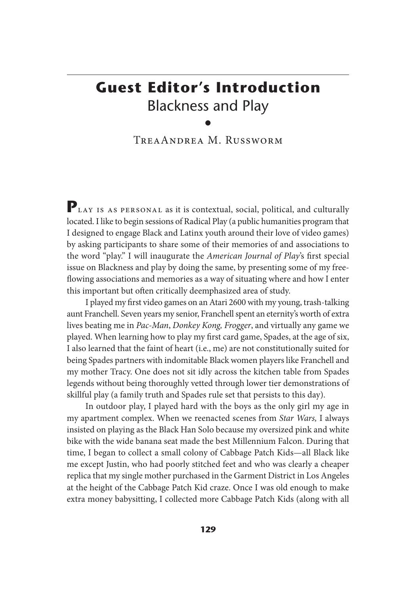## **Guest Editor's Introduction** Blackness and Play

TreaAndrea M. Russworm

PLAY IS AS PERSONAL as it is contextual, social, political, and culturally located. I like to begin sessions of Radical Play (a public humanities program that I designed to engage Black and Latinx youth around their love of video games) by asking participants to share some of their memories of and associations to the word "play." I will inaugurate the *American Journal of Play*'s first special issue on Blackness and play by doing the same, by presenting some of my freeflowing associations and memories as a way of situating where and how I enter this important but often critically deemphasized area of study.

I played my first video games on an Atari 2600 with my young, trash-talking aunt Franchell. Seven years my senior, Franchell spent an eternity's worth of extra lives beating me in *Pac-Man*, *Donkey Kong, Frogger*, and virtually any game we played. When learning how to play my first card game, Spades, at the age of six, I also learned that the faint of heart (i.e., me) are not constitutionally suited for being Spades partners with indomitable Black women players like Franchell and my mother Tracy. One does not sit idly across the kitchen table from Spades legends without being thoroughly vetted through lower tier demonstrations of skillful play (a family truth and Spades rule set that persists to this day).

In outdoor play, I played hard with the boys as the only girl my age in my apartment complex. When we reenacted scenes from *Star Wars,* I always insisted on playing as the Black Han Solo because my oversized pink and white bike with the wide banana seat made the best Millennium Falcon. During that time, I began to collect a small colony of Cabbage Patch Kids—all Black like me except Justin, who had poorly stitched feet and who was clearly a cheaper replica that my single mother purchased in the Garment District in Los Angeles at the height of the Cabbage Patch Kid craze. Once I was old enough to make extra money babysitting, I collected more Cabbage Patch Kids (along with all

<sup>•</sup>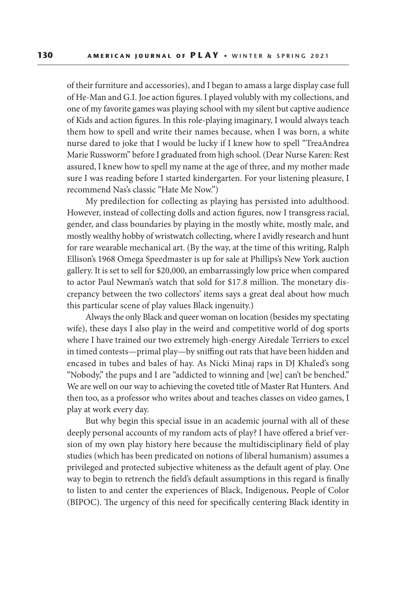of their furniture and accessories), and I began to amass a large display case full of He-Man and G.I. Joe action figures. I played volubly with my collections, and one of my favorite games was playing school with my silent but captive audience of Kids and action figures. In this role-playing imaginary, I would always teach them how to spell and write their names because, when I was born, a white nurse dared to joke that I would be lucky if I knew how to spell "TreaAndrea Marie Russworm" before I graduated from high school. (Dear Nurse Karen: Rest assured, I knew how to spell my name at the age of three, and my mother made sure I was reading before I started kindergarten. For your listening pleasure, I recommend Nas's classic "Hate Me Now.")

My predilection for collecting as playing has persisted into adulthood. However, instead of collecting dolls and action figures, now I transgress racial, gender, and class boundaries by playing in the mostly white, mostly male, and mostly wealthy hobby of wristwatch collecting, where I avidly research and hunt for rare wearable mechanical art. (By the way, at the time of this writing, Ralph Ellison's 1968 Omega Speedmaster is up for sale at Phillips's New York auction gallery. It is set to sell for \$20,000, an embarrassingly low price when compared to actor Paul Newman's watch that sold for \$17.8 million. The monetary discrepancy between the two collectors' items says a great deal about how much this particular scene of play values Black ingenuity.)

Always the only Black and queer woman on location (besides my spectating wife), these days I also play in the weird and competitive world of dog sports where I have trained our two extremely high-energy Airedale Terriers to excel in timed contests—primal play—by sniffing out rats that have been hidden and encased in tubes and bales of hay. As Nicki Minaj raps in DJ Khaled's song "Nobody," the pups and I are "addicted to winning and [we] can't be benched." We are well on our way to achieving the coveted title of Master Rat Hunters. And then too, as a professor who writes about and teaches classes on video games, I play at work every day.

But why begin this special issue in an academic journal with all of these deeply personal accounts of my random acts of play? I have offered a brief version of my own play history here because the multidisciplinary field of play studies (which has been predicated on notions of liberal humanism) assumes a privileged and protected subjective whiteness as the default agent of play. One way to begin to retrench the field's default assumptions in this regard is finally to listen to and center the experiences of Black, Indigenous, People of Color (BIPOC). The urgency of this need for specifically centering Black identity in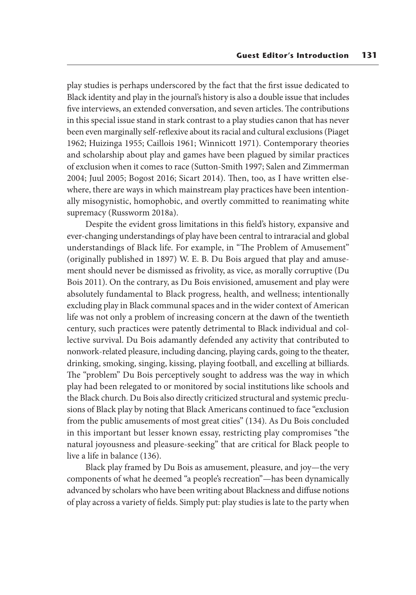play studies is perhaps underscored by the fact that the first issue dedicated to Black identity and play in the journal's history is also a double issue that includes five interviews, an extended conversation, and seven articles. The contributions in this special issue stand in stark contrast to a play studies canon that has never been even marginally self-reflexive about its racial and cultural exclusions (Piaget 1962; Huizinga 1955; Caillois 1961; Winnicott 1971). Contemporary theories and scholarship about play and games have been plagued by similar practices of exclusion when it comes to race (Sutton-Smith 1997; Salen and Zimmerman 2004; Juul 2005; Bogost 2016; Sicart 2014). Then, too, as I have written elsewhere, there are ways in which mainstream play practices have been intentionally misogynistic, homophobic, and overtly committed to reanimating white supremacy (Russworm 2018a).

Despite the evident gross limitations in this field's history, expansive and ever-changing understandings of play have been central to intraracial and global understandings of Black life. For example, in "The Problem of Amusement" (originally published in 1897) W. E. B. Du Bois argued that play and amusement should never be dismissed as frivolity, as vice, as morally corruptive (Du Bois 2011). On the contrary, as Du Bois envisioned, amusement and play were absolutely fundamental to Black progress, health, and wellness; intentionally excluding play in Black communal spaces and in the wider context of American life was not only a problem of increasing concern at the dawn of the twentieth century, such practices were patently detrimental to Black individual and collective survival. Du Bois adamantly defended any activity that contributed to nonwork-related pleasure, including dancing, playing cards, going to the theater, drinking, smoking, singing, kissing, playing football, and excelling at billiards. The "problem" Du Bois perceptively sought to address was the way in which play had been relegated to or monitored by social institutions like schools and the Black church. Du Bois also directly criticized structural and systemic preclusions of Black play by noting that Black Americans continued to face "exclusion from the public amusements of most great cities" (134). As Du Bois concluded in this important but lesser known essay, restricting play compromises "the natural joyousness and pleasure-seeking" that are critical for Black people to live a life in balance (136).

Black play framed by Du Bois as amusement, pleasure, and joy—the very components of what he deemed "a people's recreation"—has been dynamically advanced by scholars who have been writing about Blackness and diffuse notions of play across a variety of fields. Simply put: play studies is late to the party when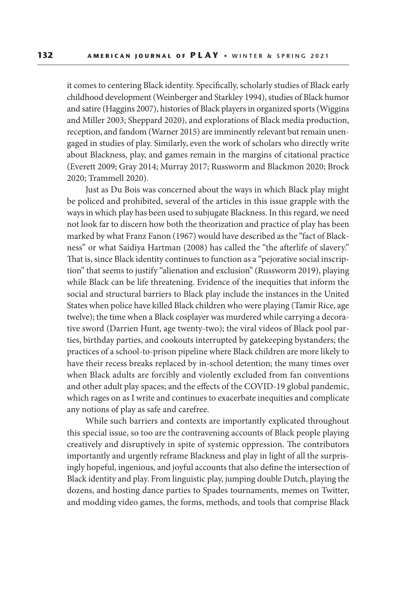it comes to centering Black identity. Specifically, scholarly studies of Black early childhood development (Weinberger and Starkley 1994), studies of Black humor and satire (Haggins 2007), histories of Black players in organized sports (Wiggins and Miller 2003; Sheppard 2020), and explorations of Black media production, reception, and fandom (Warner 2015) are imminently relevant but remain unengaged in studies of play. Similarly, even the work of scholars who directly write about Blackness, play, and games remain in the margins of citational practice (Everett 2009; Gray 2014; Murray 2017; Russworm and Blackmon 2020; Brock 2020; Trammell 2020).

Just as Du Bois was concerned about the ways in which Black play might be policed and prohibited, several of the articles in this issue grapple with the ways in which play has been used to subjugate Blackness. In this regard, we need not look far to discern how both the theorization and practice of play has been marked by what Franz Fanon (1967) would have described as the "fact of Blackness" or what Saidiya Hartman (2008) has called the "the afterlife of slavery." That is, since Black identity continues to function as a "pejorative social inscription" that seems to justify "alienation and exclusion" (Russworm 2019), playing while Black can be life threatening. Evidence of the inequities that inform the social and structural barriers to Black play include the instances in the United States when police have killed Black children who were playing (Tamir Rice, age twelve); the time when a Black cosplayer was murdered while carrying a decorative sword (Darrien Hunt, age twenty-two); the viral videos of Black pool parties, birthday parties, and cookouts interrupted by gatekeeping bystanders; the practices of a school-to-prison pipeline where Black children are more likely to have their recess breaks replaced by in-school detention; the many times over when Black adults are forcibly and violently excluded from fan conventions and other adult play spaces; and the effects of the COVID-19 global pandemic, which rages on as I write and continues to exacerbate inequities and complicate any notions of play as safe and carefree.

While such barriers and contexts are importantly explicated throughout this special issue, so too are the contravening accounts of Black people playing creatively and disruptively in spite of systemic oppression. The contributors importantly and urgently reframe Blackness and play in light of all the surprisingly hopeful, ingenious, and joyful accounts that also define the intersection of Black identity and play. From linguistic play, jumping double Dutch, playing the dozens, and hosting dance parties to Spades tournaments, memes on Twitter, and modding video games, the forms, methods, and tools that comprise Black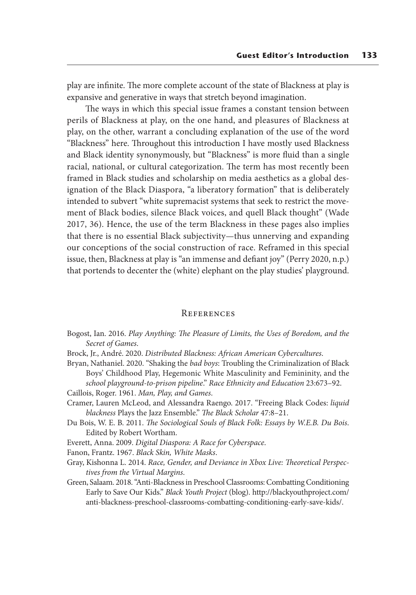play are infinite. The more complete account of the state of Blackness at play is expansive and generative in ways that stretch beyond imagination.

The ways in which this special issue frames a constant tension between perils of Blackness at play, on the one hand, and pleasures of Blackness at play, on the other, warrant a concluding explanation of the use of the word "Blackness" here. Throughout this introduction I have mostly used Blackness and Black identity synonymously, but "Blackness" is more fluid than a single racial, national, or cultural categorization. The term has most recently been framed in Black studies and scholarship on media aesthetics as a global designation of the Black Diaspora, "a liberatory formation" that is deliberately intended to subvert "white supremacist systems that seek to restrict the movement of Black bodies, silence Black voices, and quell Black thought" (Wade 2017, 36). Hence, the use of the term Blackness in these pages also implies that there is no essential Black subjectivity—thus unnerving and expanding our conceptions of the social construction of race. Reframed in this special issue, then, Blackness at play is "an immense and defiant joy" (Perry 2020, n.p.) that portends to decenter the (white) elephant on the play studies' playground.

## **REFERENCES**

- Bogost, Ian. 2016. *Play Anything: The Pleasure of Limits, the Uses of Boredom, and the Secret of Games*.
- Brock, Jr., André. 2020. *Distributed Blackness: African American Cybercultures*.
- Bryan, Nathaniel. 2020. "Shaking the *bad boys*: Troubling the Criminalization of Black Boys' Childhood Play, Hegemonic White Masculinity and Femininity, and the *school playground-to-prison pipeline*." *Race Ethnicity and Education* 23:673–92. Caillois, Roger. 1961. *Man, Play, and Games*.
- Cramer, Lauren McLeod, and Alessandra Raengo. 2017. "Freeing Black Codes: *liquid blackness* Plays the Jazz Ensemble." *The Black Scholar* 47:8–21.
- Du Bois, W. E. B. 2011. *The Sociological Souls of Black Folk: Essays by W.E.B. Du Bois*. Edited by Robert Wortham.

Everett, Anna. 2009. *Digital Diaspora: A Race for Cyberspace*.

- Fanon, Frantz. 1967. *Black Skin, White Masks*.
- Gray, Kishonna L. 2014. *Race, Gender, and Deviance in Xbox Live: Theoretical Perspectives from the Virtual Margins*.
- Green, Salaam. 2018. "Anti-Blackness in Preschool Classrooms: Combatting Conditioning Early to Save Our Kids." *Black Youth Project* (blog). http://blackyouthproject.com/ anti-blackness-preschool-classrooms-combatting-conditioning-early-save-kids/.